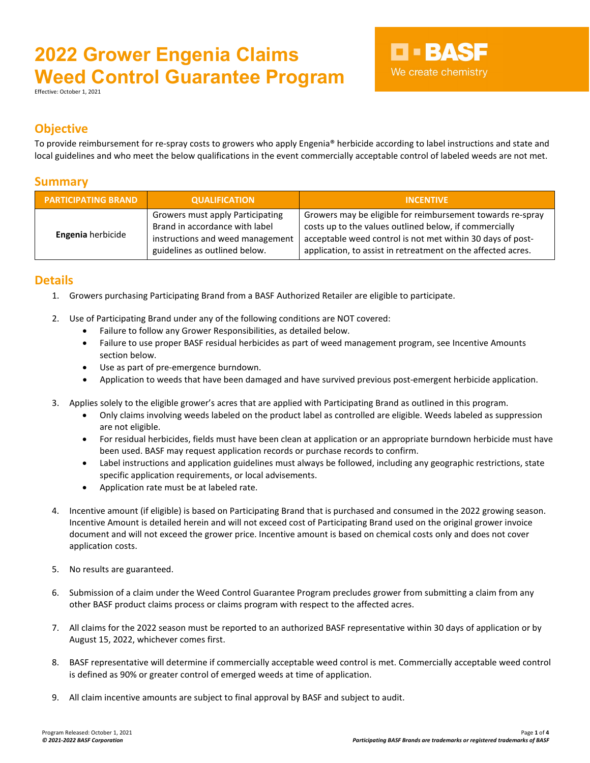Effective: October 1, 2021

## **D-BASF** We create chemistry

#### **Objective**

To provide reimbursement for re-spray costs to growers who apply Engenia® herbicide according to label instructions and state and local guidelines and who meet the below qualifications in the event commercially acceptable control of labeled weeds are not met.

#### **Summary**

| <b>PARTICIPATING BRAND</b> | <b>QUALIFICATION</b>                                                                                                                    | <b>INCENTIVE</b>                                                                                                                                                                                                                                   |  |
|----------------------------|-----------------------------------------------------------------------------------------------------------------------------------------|----------------------------------------------------------------------------------------------------------------------------------------------------------------------------------------------------------------------------------------------------|--|
| Engenia herbicide          | Growers must apply Participating<br>Brand in accordance with label<br>instructions and weed management<br>guidelines as outlined below. | Growers may be eligible for reimbursement towards re-spray<br>costs up to the values outlined below, if commercially<br>acceptable weed control is not met within 30 days of post-<br>application, to assist in retreatment on the affected acres. |  |

#### **Details**

- 1. Growers purchasing Participating Brand from a BASF Authorized Retailer are eligible to participate.
- 2. Use of Participating Brand under any of the following conditions are NOT covered:
	- Failure to follow any Grower Responsibilities, as detailed below.
	- Failure to use proper BASF residual herbicides as part of weed management program, see Incentive Amounts section below.
	- Use as part of pre-emergence burndown.
	- Application to weeds that have been damaged and have survived previous post-emergent herbicide application.
- 3. Applies solely to the eligible grower's acres that are applied with Participating Brand as outlined in this program.
	- Only claims involving weeds labeled on the product label as controlled are eligible. Weeds labeled as suppression are not eligible.
	- For residual herbicides, fields must have been clean at application or an appropriate burndown herbicide must have been used. BASF may request application records or purchase records to confirm.
	- Label instructions and application guidelines must always be followed, including any geographic restrictions, state specific application requirements, or local advisements.
	- Application rate must be at labeled rate.
- 4. Incentive amount (if eligible) is based on Participating Brand that is purchased and consumed in the 2022 growing season. Incentive Amount is detailed herein and will not exceed cost of Participating Brand used on the original grower invoice document and will not exceed the grower price. Incentive amount is based on chemical costs only and does not cover application costs.
- 5. No results are guaranteed.
- 6. Submission of a claim under the Weed Control Guarantee Program precludes grower from submitting a claim from any other BASF product claims process or claims program with respect to the affected acres.
- 7. All claims for the 2022 season must be reported to an authorized BASF representative within 30 days of application or by August 15, 2022, whichever comes first.
- 8. BASF representative will determine if commercially acceptable weed control is met. Commercially acceptable weed control is defined as 90% or greater control of emerged weeds at time of application.
- 9. All claim incentive amounts are subject to final approval by BASF and subject to audit.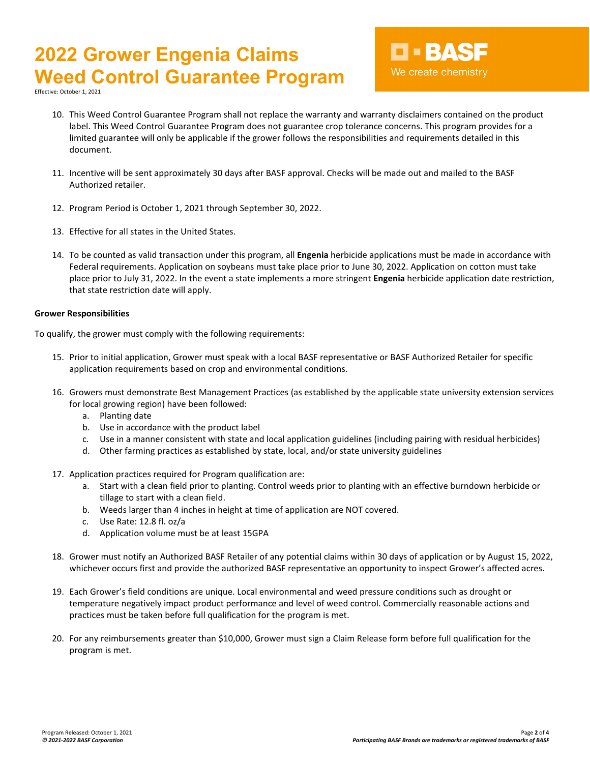Effective: October 1, 2021

- 10. This Weed Control Guarantee Program shall not replace the warranty and warranty disclaimers contained on the product label. This Weed Control Guarantee Program does not guarantee crop tolerance concerns. This program provides for a limited guarantee will only be applicable if the grower follows the responsibilities and requirements detailed in this document.
- 11. Incentive will be sent approximately 30 days after BASF approval. Checks will be made out and mailed to the BASF Authorized retailer.
- 12. Program Period is October 1, 2021 through September 30, 2022.
- 13. Effective for all states in the United States.
- 14. To be counted as valid transaction under this program, all **Engenia** herbicide applications must be made in accordance with Federal requirements. Application on soybeans must take place prior to June 30, 2022. Application on cotton must take place prior to July 31, 2022. In the event a state implements a more stringent **Engenia** herbicide application date restriction, that state restriction date will apply.

#### **Grower Responsibilities**

To qualify, the grower must comply with the following requirements:

- 15. Prior to initial application, Grower must speak with a local BASF representative or BASF Authorized Retailer for specific application requirements based on crop and environmental conditions.
- 16. Growers must demonstrate Best Management Practices (as established by the applicable state university extension services for local growing region) have been followed:
	- a. Planting date
	- b. Use in accordance with the product label
	- c. Use in a manner consistent with state and local application guidelines (including pairing with residual herbicides)
	- d. Other farming practices as established by state, local, and/or state university guidelines
- 17. Application practices required for Program qualification are:
	- a. Start with a clean field prior to planting. Control weeds prior to planting with an effective burndown herbicide or tillage to start with a clean field.
	- b. Weeds larger than 4 inches in height at time of application are NOT covered.
	- c. Use Rate: 12.8 fl. oz/a
	- d. Application volume must be at least 15GPA
- 18. Grower must notify an Authorized BASF Retailer of any potential claims within 30 days of application or by August 15, 2022, whichever occurs first and provide the authorized BASF representative an opportunity to inspect Grower's affected acres.
- 19. Each Grower's field conditions are unique. Local environmental and weed pressure conditions such as drought or temperature negatively impact product performance and level of weed control. Commercially reasonable actions and practices must be taken before full qualification for the program is met.
- 20. For any reimbursements greater than \$10,000, Grower must sign a Claim Release form before full qualification for the program is met.

D-BASF

We create chemistry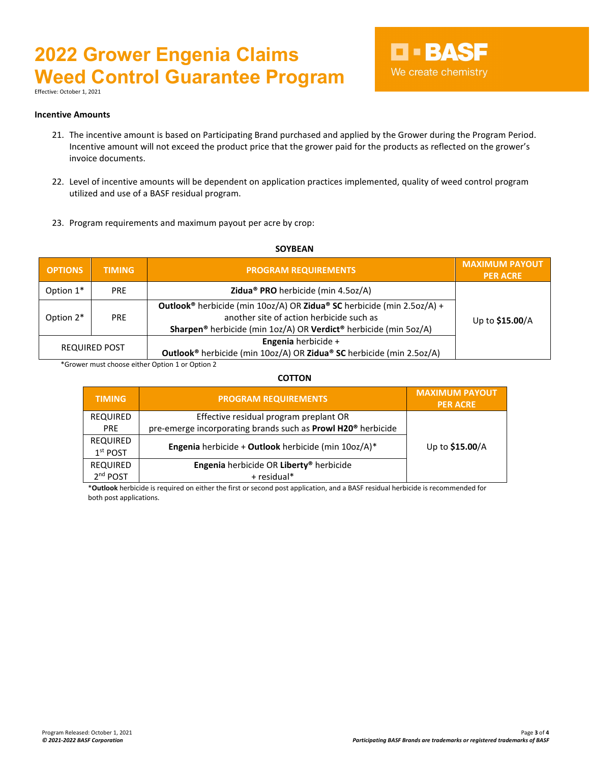Effective: October 1, 2021

### **D-BASF** We create chemistry

#### **Incentive Amounts**

- 21. The incentive amount is based on Participating Brand purchased and applied by the Grower during the Program Period. Incentive amount will not exceed the product price that the grower paid for the products as reflected on the grower's invoice documents.
- 22. Level of incentive amounts will be dependent on application practices implemented, quality of weed control program utilized and use of a BASF residual program.
- 23. Program requirements and maximum payout per acre by crop:

### **OPTIONS TIMING PROGRAM REQUIREMENTS MAXIMUM PAYOUT PER ACRE** Option 1\* PRE **Zidua® PRO** herbicide (min 4.5oz/A) Option 2<sup>\*</sup> PRE another site of action herbicide such as provided to the to **\$15.00**/A **Outlook®** herbicide (min 10oz/A) OR **Zidua® SC** herbicide (min 2.5oz/A) + **Sharpen®** herbicide (min 1oz/A) OR **Verdict®** herbicide (min 5oz/A) REQUIRED POST **Engenia** herbicide <sup>+</sup> **Outlook®** herbicide (min 10oz/A) OR **Zidua® SC** herbicide (min 2.5oz/A)

**SOYBEAN**

\*Grower must choose either Option 1 or Option 2

**COTTON**

| <b>TIMING</b>                 | <b>PROGRAM REQUIREMENTS</b>                                              | <b>MAXIMUM PAYOUT</b><br><b>PER ACRE</b> |
|-------------------------------|--------------------------------------------------------------------------|------------------------------------------|
| <b>REQUIRED</b>               | Effective residual program preplant OR                                   |                                          |
| <b>PRE</b>                    | pre-emerge incorporating brands such as Prowl H20 <sup>®</sup> herbicide | Up to \$15.00/A                          |
| <b>REQUIRED</b><br>$1st$ POST | Engenia herbicide + Outlook herbicide (min 10oz/A)*                      |                                          |
| <b>REQUIRED</b>               | Engenia herbicide OR Liberty® herbicide                                  |                                          |
| 2 <sup>nd</sup> POST          | + residual*                                                              |                                          |

\***Outlook** herbicide is required on either the first or second post application, and a BASF residual herbicide is recommended for both post applications.